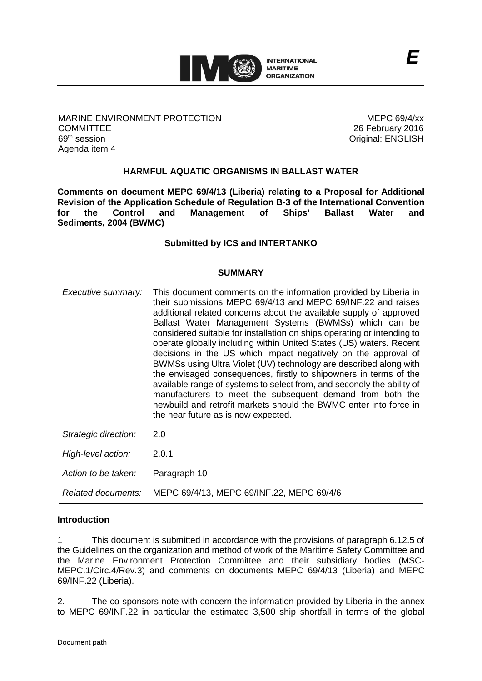

MARINE ENVIRONMENT PROTECTION **COMMITTEE** 69th session Agenda item 4

MEPC 69/4/xx 26 February 2016 Original: ENGLISH

*E*

## **HARMFUL AQUATIC ORGANISMS IN BALLAST WATER**

**Comments on document MEPC 69/4/13 (Liberia) relating to a Proposal for Additional Revision of the Application Schedule of Regulation B-3 of the International Convention for the Control and Management of Ships' Ballast Water and Sediments, 2004 (BWMC)**

#### **Submitted by ICS and INTERTANKO**

| <b>SUMMARY</b>       |                                                                                                                                                                                                                                                                                                                                                                                                                                                                                                                                                                                                                                                                                                                                                                                                                                                                                  |
|----------------------|----------------------------------------------------------------------------------------------------------------------------------------------------------------------------------------------------------------------------------------------------------------------------------------------------------------------------------------------------------------------------------------------------------------------------------------------------------------------------------------------------------------------------------------------------------------------------------------------------------------------------------------------------------------------------------------------------------------------------------------------------------------------------------------------------------------------------------------------------------------------------------|
| Executive summary:   | This document comments on the information provided by Liberia in<br>their submissions MEPC 69/4/13 and MEPC 69/INF.22 and raises<br>additional related concerns about the available supply of approved<br>Ballast Water Management Systems (BWMSs) which can be<br>considered suitable for installation on ships operating or intending to<br>operate globally including within United States (US) waters. Recent<br>decisions in the US which impact negatively on the approval of<br>BWMSs using Ultra Violet (UV) technology are described along with<br>the envisaged consequences, firstly to shipowners in terms of the<br>available range of systems to select from, and secondly the ability of<br>manufacturers to meet the subsequent demand from both the<br>newbuild and retrofit markets should the BWMC enter into force in<br>the near future as is now expected. |
| Strategic direction: | 2.0                                                                                                                                                                                                                                                                                                                                                                                                                                                                                                                                                                                                                                                                                                                                                                                                                                                                              |
| High-level action:   | 2.0.1                                                                                                                                                                                                                                                                                                                                                                                                                                                                                                                                                                                                                                                                                                                                                                                                                                                                            |
| Action to be taken:  | Paragraph 10                                                                                                                                                                                                                                                                                                                                                                                                                                                                                                                                                                                                                                                                                                                                                                                                                                                                     |
| Related documents:   | MEPC 69/4/13, MEPC 69/INF.22, MEPC 69/4/6                                                                                                                                                                                                                                                                                                                                                                                                                                                                                                                                                                                                                                                                                                                                                                                                                                        |

#### **Introduction**

1 This document is submitted in accordance with the provisions of paragraph 6.12.5 of the Guidelines on the organization and method of work of the Maritime Safety Committee and the Marine Environment Protection Committee and their subsidiary bodies (MSC-MEPC.1/Circ.4/Rev.3) and comments on documents MEPC 69/4/13 (Liberia) and MEPC 69/INF.22 (Liberia).

2. The co-sponsors note with concern the information provided by Liberia in the annex to MEPC 69/INF.22 in particular the estimated 3,500 ship shortfall in terms of the global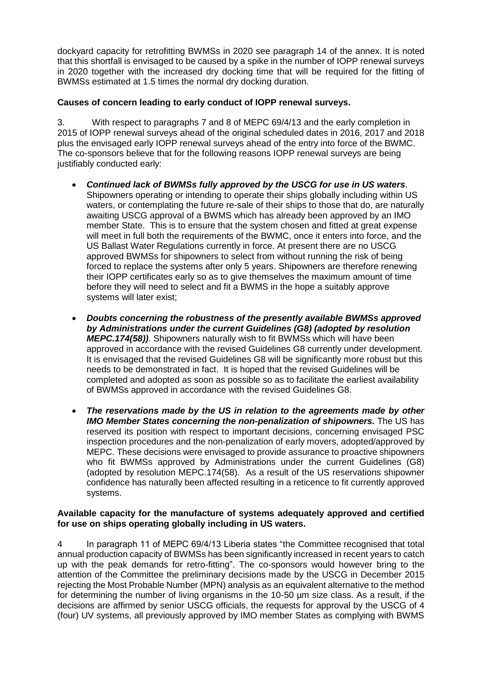dockyard capacity for retrofitting BWMSs in 2020 see paragraph 14 of the annex. It is noted that this shortfall is envisaged to be caused by a spike in the number of IOPP renewal surveys in 2020 together with the increased dry docking time that will be required for the fitting of BWMSs estimated at 1.5 times the normal dry docking duration.

## **Causes of concern leading to early conduct of IOPP renewal surveys.**

3. With respect to paragraphs 7 and 8 of MEPC 69/4/13 and the early completion in 2015 of IOPP renewal surveys ahead of the original scheduled dates in 2016, 2017 and 2018 plus the envisaged early IOPP renewal surveys ahead of the entry into force of the BWMC. The co-sponsors believe that for the following reasons IOPP renewal surveys are being justifiably conducted early:

- *Continued lack of BWMSs fully approved by the USCG for use in US waters*. Shipowners operating or intending to operate their ships globally including within US waters, or contemplating the future re-sale of their ships to those that do, are naturally awaiting USCG approval of a BWMS which has already been approved by an IMO member State. This is to ensure that the system chosen and fitted at great expense will meet in full both the requirements of the BWMC, once it enters into force, and the US Ballast Water Regulations currently in force. At present there are no USCG approved BWMSs for shipowners to select from without running the risk of being forced to replace the systems after only 5 years. Shipowners are therefore renewing their IOPP certificates early so as to give themselves the maximum amount of time before they will need to select and fit a BWMS in the hope a suitably approve systems will later exist;
- *Doubts concerning the robustness of the presently available BWMSs approved by Administrations under the current Guidelines (G8) (adopted by resolution MEPC.174(58))*. Shipowners naturally wish to fit BWMSs which will have been approved in accordance with the revised Guidelines G8 currently under development. It is envisaged that the revised Guidelines G8 will be significantly more robust but this needs to be demonstrated in fact. It is hoped that the revised Guidelines will be completed and adopted as soon as possible so as to facilitate the earliest availability of BWMSs approved in accordance with the revised Guidelines G8.
- *The reservations made by the US in relation to the agreements made by other IMO Member States concerning the non-penalization of shipowners.* The US has reserved its position with respect to important decisions, concerning envisaged PSC inspection procedures and the non-penalization of early movers, adopted/approved by MEPC. These decisions were envisaged to provide assurance to proactive shipowners who fit BWMSs approved by Administrations under the current Guidelines (G8) (adopted by resolution MEPC.174(58). As a result of the US reservations shipowner confidence has naturally been affected resulting in a reticence to fit currently approved systems.

#### **Available capacity for the manufacture of systems adequately approved and certified for use on ships operating globally including in US waters.**

4 In paragraph 11 of MEPC 69/4/13 Liberia states "the Committee recognised that total annual production capacity of BWMSs has been significantly increased in recent years to catch up with the peak demands for retro-fitting". The co-sponsors would however bring to the attention of the Committee the preliminary decisions made by the USCG in December 2015 rejecting the Most Probable Number (MPN) analysis as an equivalent alternative to the method for determining the number of living organisms in the 10-50 µm size class. As a result, if the decisions are affirmed by senior USCG officials, the requests for approval by the USCG of 4 (four) UV systems, all previously approved by IMO member States as complying with BWMS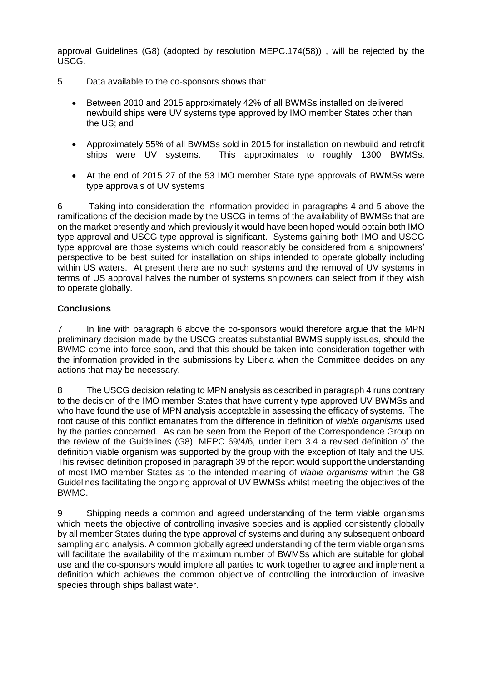approval Guidelines (G8) (adopted by resolution MEPC.174(58)) , will be rejected by the USCG.

- 5 Data available to the co-sponsors shows that:
	- Between 2010 and 2015 approximately 42% of all BWMSs installed on delivered newbuild ships were UV systems type approved by IMO member States other than the US; and
	- Approximately 55% of all BWMSs sold in 2015 for installation on newbuild and retrofit ships were UV systems. This approximates to roughly 1300 BWMSs.
	- At the end of 2015 27 of the 53 IMO member State type approvals of BWMSs were type approvals of UV systems

6 Taking into consideration the information provided in paragraphs 4 and 5 above the ramifications of the decision made by the USCG in terms of the availability of BWMSs that are on the market presently and which previously it would have been hoped would obtain both IMO type approval and USCG type approval is significant. Systems gaining both IMO and USCG type approval are those systems which could reasonably be considered from a shipowners' perspective to be best suited for installation on ships intended to operate globally including within US waters. At present there are no such systems and the removal of UV systems in terms of US approval halves the number of systems shipowners can select from if they wish to operate globally.

## **Conclusions**

7 In line with paragraph 6 above the co-sponsors would therefore argue that the MPN preliminary decision made by the USCG creates substantial BWMS supply issues, should the BWMC come into force soon, and that this should be taken into consideration together with the information provided in the submissions by Liberia when the Committee decides on any actions that may be necessary.

8 The USCG decision relating to MPN analysis as described in paragraph 4 runs contrary to the decision of the IMO member States that have currently type approved UV BWMSs and who have found the use of MPN analysis acceptable in assessing the efficacy of systems. The root cause of this conflict emanates from the difference in definition of *viable organisms* used by the parties concerned. As can be seen from the Report of the Correspondence Group on the review of the Guidelines (G8), MEPC 69/4/6, under item 3.4 a revised definition of the definition viable organism was supported by the group with the exception of Italy and the US. This revised definition proposed in paragraph 39 of the report would support the understanding of most IMO member States as to the intended meaning of *viable organisms* within the G8 Guidelines facilitating the ongoing approval of UV BWMSs whilst meeting the objectives of the BWMC.

9 Shipping needs a common and agreed understanding of the term viable organisms which meets the objective of controlling invasive species and is applied consistently globally by all member States during the type approval of systems and during any subsequent onboard sampling and analysis. A common globally agreed understanding of the term viable organisms will facilitate the availability of the maximum number of BWMSs which are suitable for global use and the co-sponsors would implore all parties to work together to agree and implement a definition which achieves the common objective of controlling the introduction of invasive species through ships ballast water.